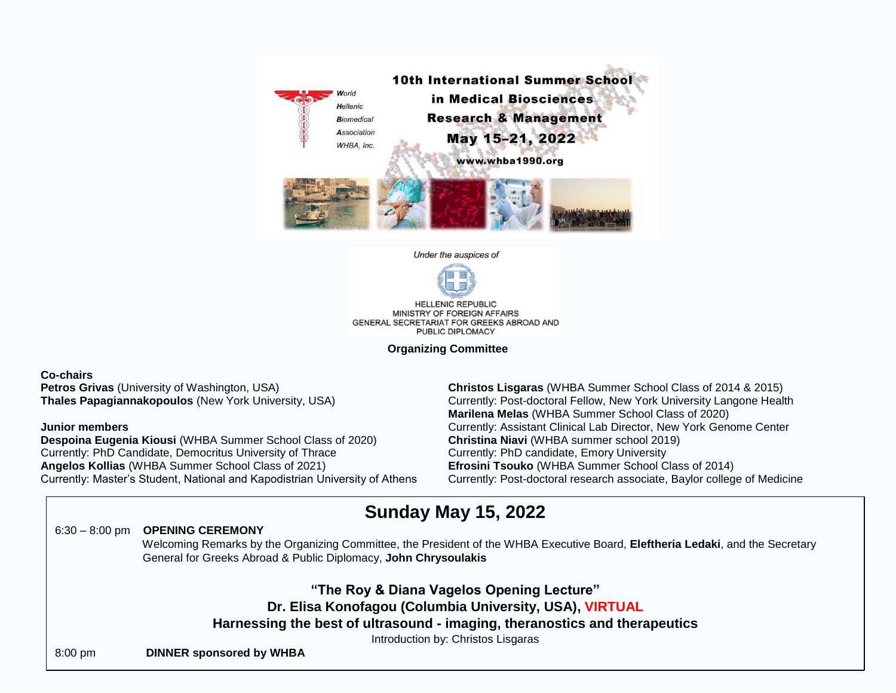

Under the auspices of



**HELLENIC REPUBLIC** MINISTRY OF FOREIGN AFFAIRS GENERAL SECRETARIAT FOR GREEKS ABROAD AND PUBLIC DIPLOMACY

**Organizing Committee**

## **Co-chairs**

**Petros Grivas** (University of Washington, USA) **Thales Papagiannakopoulos** (New York University, USA)

## **Junior members**

**Despoina Eugenia Kiousi** (WHBA Summer School Class of 2020) Currently: PhD Candidate, Democritus University of Thrace **Angelos Kollias** (WHBA Summer School Class of 2021) Currently: Master's Student, National and Kapodistrian University of Athens **Christos Lisgaras** (WHBA Summer School Class of 2014 & 2015) Currently: Post-doctoral Fellow, New York University Langone Health **Marilena Melas** (WHBA Summer School Class of 2020) Currently: Assistant Clinical Lab Director, New York Genome Center **Christina Niavi** (WHBA summer school 2019) Currently: PhD candidate, Emory University **Efrosini Tsouko** (WHBA Summer School Class of 2014) Currently: Post-doctoral research associate, Baylor college of Medicine

## **Sunday May 15, 2022**

## 6:30 – 8:00 pm **OPENING CEREMONY**

 Welcoming Remarks by the Organizing Committee, the President of the WHBA Executive Board, **Eleftheria Ledaki**, and the Secretary General for Greeks Abroad & Public Diplomacy, **John Chrysoulakis**

**"The Roy & Diana Vagelos Opening Lecture" Dr. Elisa Konofagou (Columbia University, USA), VIRTUAL Harnessing the best of ultrasound - imaging, theranostics and therapeutics** Introduction by: Christos Lisgaras

8:00 pm **DINNER sponsored by WHBA**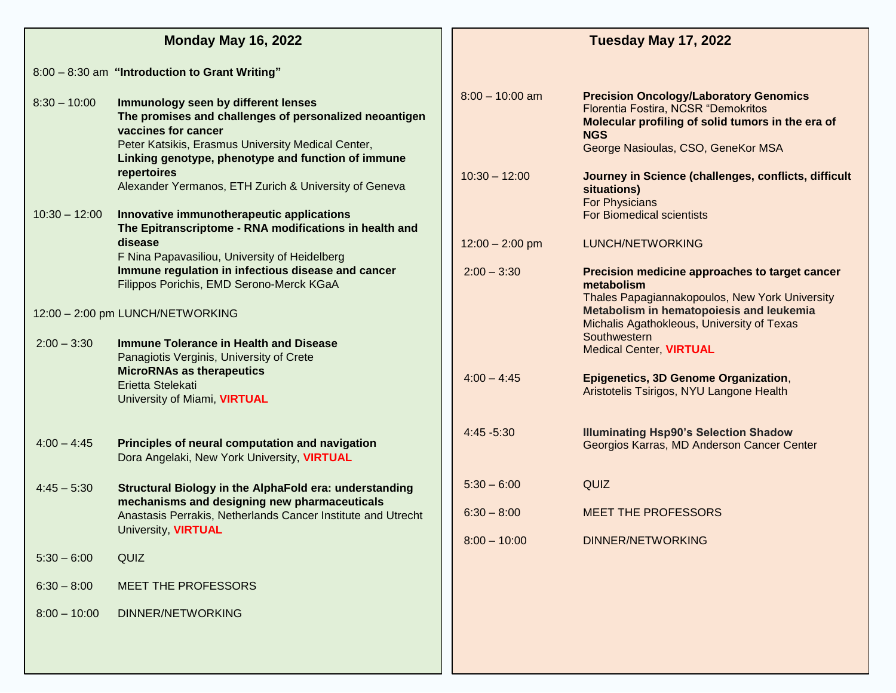|                                  | <b>Monday May 16, 2022</b>                                                                                                                                                                                                       | Tuesday May 17, 2022 |                                                                                                                                                                                               |  |  |
|----------------------------------|----------------------------------------------------------------------------------------------------------------------------------------------------------------------------------------------------------------------------------|----------------------|-----------------------------------------------------------------------------------------------------------------------------------------------------------------------------------------------|--|--|
|                                  | 8:00 - 8:30 am "Introduction to Grant Writing"                                                                                                                                                                                   |                      |                                                                                                                                                                                               |  |  |
| $8:30 - 10:00$                   | Immunology seen by different lenses<br>The promises and challenges of personalized neoantigen<br>vaccines for cancer<br>Peter Katsikis, Erasmus University Medical Center,<br>Linking genotype, phenotype and function of immune | $8:00 - 10:00$ am    | <b>Precision Oncology/Laboratory Genomics</b><br>Florentia Fostira, NCSR "Demokritos<br>Molecular profiling of solid tumors in the era of<br><b>NGS</b><br>George Nasioulas, CSO, GeneKor MSA |  |  |
| $10:30 - 12:00$                  | repertoires<br>Alexander Yermanos, ETH Zurich & University of Geneva<br>Innovative immunotherapeutic applications<br>The Epitranscriptome - RNA modifications in health and                                                      | $10:30 - 12:00$      | Journey in Science (challenges, conflicts, difficult<br>situations)<br><b>For Physicians</b><br><b>For Biomedical scientists</b>                                                              |  |  |
|                                  | disease<br>F Nina Papavasiliou, University of Heidelberg                                                                                                                                                                         | $12:00 - 2:00$ pm    | LUNCH/NETWORKING                                                                                                                                                                              |  |  |
|                                  | Immune regulation in infectious disease and cancer<br>Filippos Porichis, EMD Serono-Merck KGaA                                                                                                                                   | $2:00 - 3:30$        | Precision medicine approaches to target cancer<br>metabolism<br>Thales Papagiannakopoulos, New York University                                                                                |  |  |
| 12:00 - 2:00 pm LUNCH/NETWORKING |                                                                                                                                                                                                                                  |                      | Metabolism in hematopoiesis and leukemia<br>Michalis Agathokleous, University of Texas                                                                                                        |  |  |
| $2:00 - 3:30$                    | <b>Immune Tolerance in Health and Disease</b><br>Panagiotis Verginis, University of Crete                                                                                                                                        |                      | Southwestern<br><b>Medical Center, VIRTUAL</b>                                                                                                                                                |  |  |
|                                  | <b>MicroRNAs as therapeutics</b><br>Erietta Stelekati<br>University of Miami, VIRTUAL                                                                                                                                            | $4:00 - 4:45$        | Epigenetics, 3D Genome Organization,<br>Aristotelis Tsirigos, NYU Langone Health                                                                                                              |  |  |
| $4:00 - 4:45$                    | Principles of neural computation and navigation<br>Dora Angelaki, New York University, VIRTUAL                                                                                                                                   | 4:45 -5:30           | <b>Illuminating Hsp90's Selection Shadow</b><br>Georgios Karras, MD Anderson Cancer Center                                                                                                    |  |  |
| $4:45 - 5:30$                    | Structural Biology in the AlphaFold era: understanding<br>mechanisms and designing new pharmaceuticals                                                                                                                           | $5:30 - 6:00$        | QUIZ                                                                                                                                                                                          |  |  |
|                                  | Anastasis Perrakis, Netherlands Cancer Institute and Utrecht<br>University, <b>VIRTUAL</b>                                                                                                                                       | $6:30 - 8:00$        | <b>MEET THE PROFESSORS</b>                                                                                                                                                                    |  |  |
| $5:30 - 6:00$                    | <b>QUIZ</b>                                                                                                                                                                                                                      | $8:00 - 10:00$       | <b>DINNER/NETWORKING</b>                                                                                                                                                                      |  |  |
| $6:30 - 8:00$                    | MEET THE PROFESSORS                                                                                                                                                                                                              |                      |                                                                                                                                                                                               |  |  |
| $8:00 - 10:00$                   | <b>DINNER/NETWORKING</b>                                                                                                                                                                                                         |                      |                                                                                                                                                                                               |  |  |
|                                  |                                                                                                                                                                                                                                  |                      |                                                                                                                                                                                               |  |  |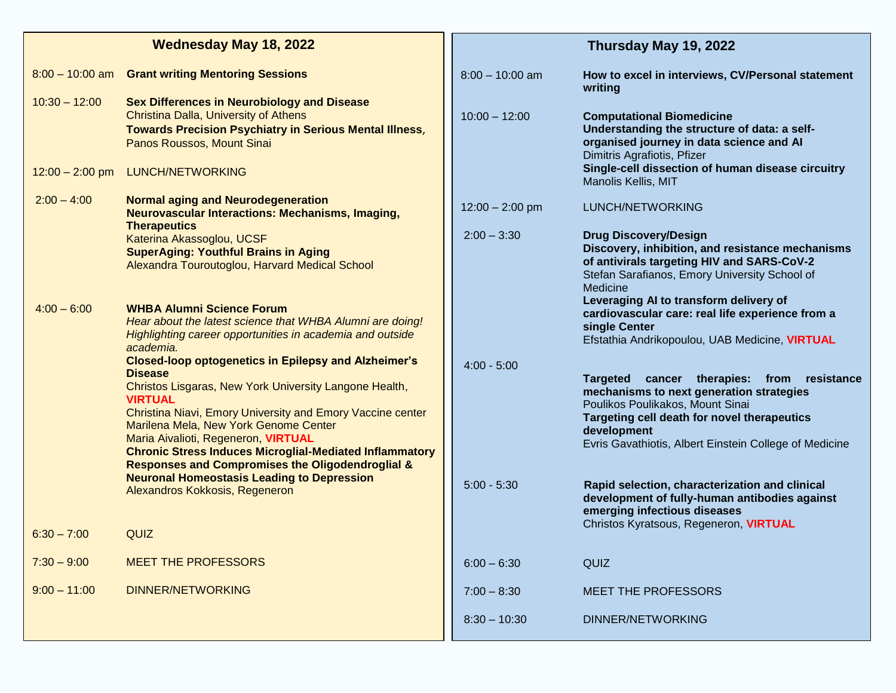| <b>Wednesday May 18, 2022</b>        |                                                                                                                                                                                                                                                                                                                                                                                                                                          | Thursday May 19, 2022 |                                                                                                                                                                                                                                                              |  |
|--------------------------------------|------------------------------------------------------------------------------------------------------------------------------------------------------------------------------------------------------------------------------------------------------------------------------------------------------------------------------------------------------------------------------------------------------------------------------------------|-----------------------|--------------------------------------------------------------------------------------------------------------------------------------------------------------------------------------------------------------------------------------------------------------|--|
| $8:00 - 10:00$ am                    | <b>Grant writing Mentoring Sessions</b>                                                                                                                                                                                                                                                                                                                                                                                                  | $8:00 - 10:00$ am     | How to excel in interviews, CV/Personal statement<br>writing                                                                                                                                                                                                 |  |
| $10:30 - 12:00$<br>$12:00 - 2:00$ pm | <b>Sex Differences in Neurobiology and Disease</b><br>Christina Dalla, University of Athens<br><b>Towards Precision Psychiatry in Serious Mental Illness,</b><br>Panos Roussos, Mount Sinai<br><b>LUNCH/NETWORKING</b>                                                                                                                                                                                                                   | $10:00 - 12:00$       | <b>Computational Biomedicine</b><br>Understanding the structure of data: a self-<br>organised journey in data science and AI<br>Dimitris Agrafiotis, Pfizer<br>Single-cell dissection of human disease circuitry                                             |  |
| $2:00 - 4:00$                        | <b>Normal aging and Neurodegeneration</b>                                                                                                                                                                                                                                                                                                                                                                                                |                       | Manolis Kellis, MIT                                                                                                                                                                                                                                          |  |
|                                      | <b>Neurovascular Interactions: Mechanisms, Imaging,</b><br><b>Therapeutics</b>                                                                                                                                                                                                                                                                                                                                                           | $12:00 - 2:00$ pm     | LUNCH/NETWORKING                                                                                                                                                                                                                                             |  |
|                                      | Katerina Akassoglou, UCSF<br><b>SuperAging: Youthful Brains in Aging</b><br>Alexandra Touroutoglou, Harvard Medical School                                                                                                                                                                                                                                                                                                               | $2:00 - 3:30$         | <b>Drug Discovery/Design</b><br>Discovery, inhibition, and resistance mechanisms<br>of antivirals targeting HIV and SARS-CoV-2<br>Stefan Sarafianos, Emory University School of<br>Medicine                                                                  |  |
| $4:00 - 6:00$                        | <b>WHBA Alumni Science Forum</b><br>Hear about the latest science that WHBA Alumni are doing!<br>Highlighting career opportunities in academia and outside<br>academia.                                                                                                                                                                                                                                                                  |                       | Leveraging AI to transform delivery of<br>cardiovascular care: real life experience from a<br>single Center<br>Efstathia Andrikopoulou, UAB Medicine, VIRTUAL                                                                                                |  |
|                                      | <b>Closed-loop optogenetics in Epilepsy and Alzheimer's</b><br><b>Disease</b><br>Christos Lisgaras, New York University Langone Health,<br><b>VIRTUAL</b><br>Christina Niavi, Emory University and Emory Vaccine center<br>Marilena Mela, New York Genome Center<br>Maria Aivalioti, Regeneron, VIRTUAL<br><b>Chronic Stress Induces Microglial-Mediated Inflammatory</b><br><b>Responses and Compromises the Oligodendroglial &amp;</b> | $4:00 - 5:00$         | cancer therapies: from resistance<br><b>Targeted</b><br>mechanisms to next generation strategies<br>Poulikos Poulikakos, Mount Sinai<br>Targeting cell death for novel therapeutics<br>development<br>Evris Gavathiotis, Albert Einstein College of Medicine |  |
|                                      | <b>Neuronal Homeostasis Leading to Depression</b><br>Alexandros Kokkosis, Regeneron                                                                                                                                                                                                                                                                                                                                                      | $5:00 - 5:30$         | Rapid selection, characterization and clinical<br>development of fully-human antibodies against<br>emerging infectious diseases<br>Christos Kyratsous, Regeneron, VIRTUAL                                                                                    |  |
| $6:30 - 7:00$                        | QUIZ                                                                                                                                                                                                                                                                                                                                                                                                                                     |                       |                                                                                                                                                                                                                                                              |  |
| $7:30 - 9:00$                        | <b>MEET THE PROFESSORS</b>                                                                                                                                                                                                                                                                                                                                                                                                               | $6:00 - 6:30$         | QUIZ                                                                                                                                                                                                                                                         |  |
| $9:00 - 11:00$                       | <b>DINNER/NETWORKING</b>                                                                                                                                                                                                                                                                                                                                                                                                                 | $7:00 - 8:30$         | <b>MEET THE PROFESSORS</b>                                                                                                                                                                                                                                   |  |
|                                      |                                                                                                                                                                                                                                                                                                                                                                                                                                          | $8:30 - 10:30$        | <b>DINNER/NETWORKING</b>                                                                                                                                                                                                                                     |  |